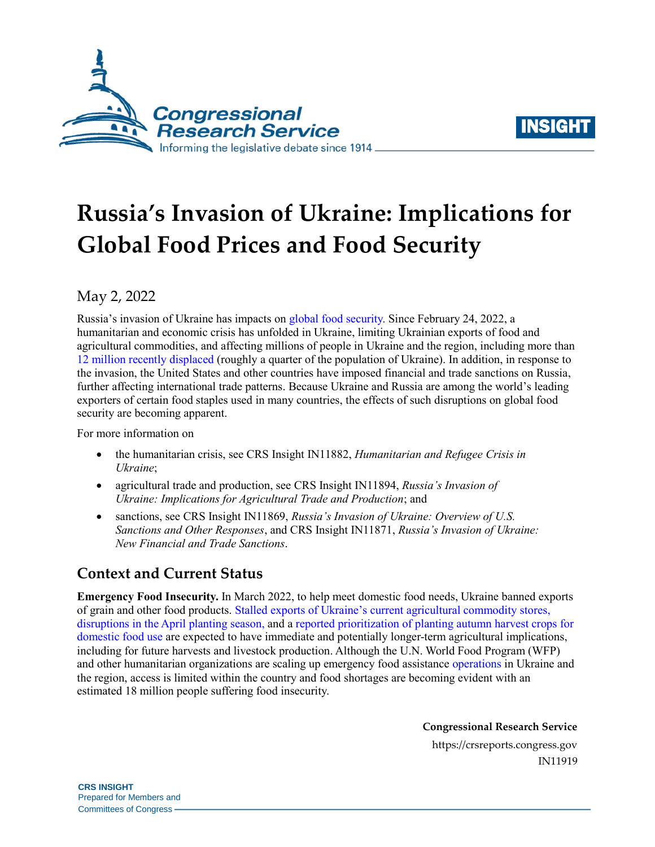



# **Russia's Invasion of Ukraine: Implications for Global Food Prices and Food Security**

## May 2, 2022

Russia's invasion of Ukraine has impacts on [global food security.](https://www.fao.org/hunger/en/) Since February 24, 2022, a humanitarian and economic crisis has unfolded in Ukraine, limiting Ukrainian exports of food and agricultural commodities, and affecting millions of people in Ukraine and the region, including more than 12 [million recently displaced](https://reliefweb.int/sites/reliefweb.int/files/resources/2022-04-21_Ukraine%20SitRep%20Humanitarian%20Impact%20final.pdf) (roughly a quarter of the population of Ukraine). In addition, in response to the invasion, the United States and other countries have imposed financial and trade sanctions on Russia, further affecting international trade patterns. Because Ukraine and Russia are among the world's leading exporters of certain food staples used in many countries, the effects of such disruptions on global food security are becoming apparent.

For more information on

- the humanitarian crisis, see CRS Insight IN11882, *[Humanitarian and Refugee Crisis in](https://crsreports.congress.gov/product/pdf/IN/IN11882)  [Ukraine](https://crsreports.congress.gov/product/pdf/IN/IN11882)*;
- agricultural trade and production, see CRS Insight IN11894, *[Russia's Invasion of](https://crsreports.congress.gov/product/pdf/IN/IN11894)  [Ukraine: Implications for Agricultural Trade and Production](https://crsreports.congress.gov/product/pdf/IN/IN11894)*; and
- sanctions, see CRS Insight IN11869, *[Russia's Invasion of Ukraine: Overview of U.S.](https://crsreports.congress.gov/product/pdf/IN/IN11869)  [Sanctions and Other Responses](https://crsreports.congress.gov/product/pdf/IN/IN11869)*, and CRS Insight IN11871, *[Russia's Invasion of Ukraine:](https://crsreports.congress.gov/product/pdf/IN/IN11871)  [New Financial and Trade Sanctions](https://crsreports.congress.gov/product/pdf/IN/IN11871)*.

# **Context and Current Status**

**Emergency Food Insecurity.** In March 2022, to help meet domestic food needs, Ukraine banned exports of grain and other food products. Stalled exports [of Ukraine's current agricultural commodity stores,](https://fews.net/sites/default/files/documents/reports/FEWS%20NET_Ukraine_Targeted_Analysis.pdf)  [disruptions in the April planting season,](https://fews.net/sites/default/files/documents/reports/FEWS%20NET_Ukraine_Targeted_Analysis.pdf) and a [reported prioritization of planting autumn harvest crops for](https://www.usnews.com/news/world/articles/2022-03-11/ukraine-to-sow-as-many-crops-as-possible-this-spring-president)  [domestic food use](https://www.usnews.com/news/world/articles/2022-03-11/ukraine-to-sow-as-many-crops-as-possible-this-spring-president) are expected to have immediate and potentially longer-term agricultural implications, including for future harvests and livestock production. Although the U.N. World Food Program (WFP) and other humanitarian organizations are scaling up emergency food assistance [operations](https://reliefweb.int/report/ukraine/wfp-ramps-food-operation-ukraine-and-warns-worlds-hungry-cannot-afford-another) in Ukraine and the region, access is limited within the country and food shortages are becoming evident with an estimated 18 million people suffering food insecurity.

**Congressional Research Service**

https://crsreports.congress.gov IN11919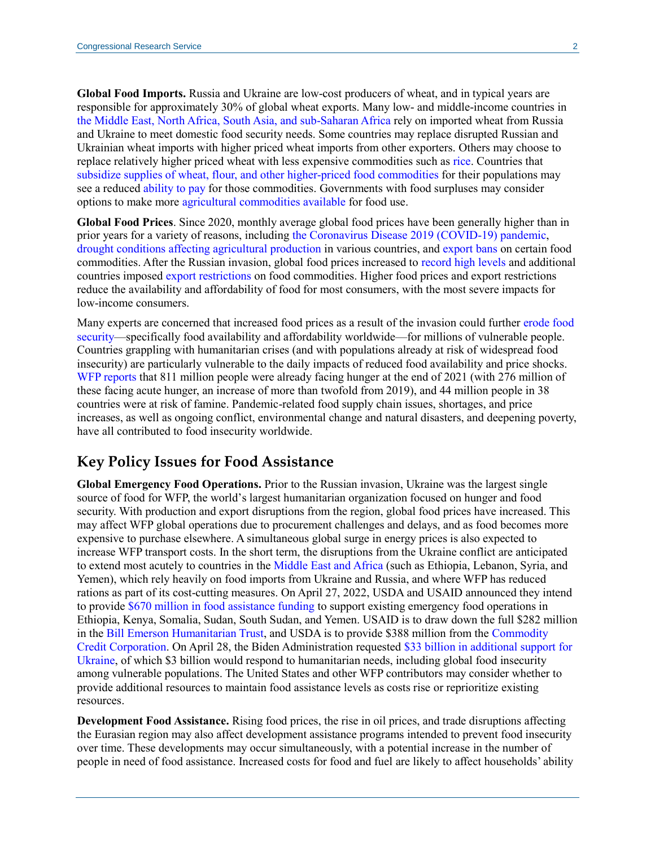**Global Food Imports.** Russia and Ukraine are low-cost producers of wheat, and in typical years are responsible for approximately 30% of global wheat exports. Many low- and middle-income countries in [the Middle East, North Africa, South Asia, and sub-Saharan Africa](https://www.ifpri.org/blog/russia-ukraine-war-exacerbating-international-food-price-volatility) rely on imported wheat from Russia and Ukraine to meet domestic food security needs. Some countries may replace disrupted Russian and Ukrainian wheat imports with higher priced wheat imports from other exporters. Others may choose to replace relatively higher priced wheat with less expensive commodities such as [rice.](https://www.washingtonpost.com/business/all-thats-stopping-a-full-blown-food-crisis-rice/2022/03/24/dd15331e-ab40-11ec-8a8e-9c6e9fc7a0de_story.html) Countries that [subsidize supplies of wheat, flour, and other higher-priced food commodities](https://www.aljazeera.com/news/2022/3/1/mena-region-faces-crisis-as-worlds-key-wheat-producers-at-war) for their populations may see a reduced [ability to pay](https://www.bloomberg.com/news/articles/2022-03-23/imf-says-egypt-seeking-help-for-economic-shock-from-ukraine-war) for those commodities. Governments with food surpluses may consider options to make more [agricultural commodities available](https://blogs.imf.org/2022/03/16/war-fueled-surge-in-food-prices-to-hit-poorer-nations-hardest/) for food use.

**Global Food Prices**. Since 2020, monthly average global food prices have been generally higher than in prior years for a variety of reasons, including [the Coronavirus Disease 2019 \(COVID-19\) pandemic,](https://www.fas.usda.gov/data/senegal-impact-covid-19-food-prices) [drought conditions affecting](https://www.barrons.com/articles/another-reason-for-rising-food-prices-droughts-51634806800) agricultural production in various countries, and [export bans](https://public.tableau.com/app/profile/laborde6680/viz/ExportRestrictionsTracker/FoodExportRestrictionsTracker) on certain food commodities. After the Russian invasion, global food prices increased to [record high levels](https://www.bloomberg.com/news/articles/2022-03-04/global-food-prices-climb-to-record-as-ukraine-war-roils-trade) and additional countries imposed [export restrictions](https://www.politico.eu/article/war-in-ukraine-global-food-system-wheat-trade-export/) on food commodities. Higher food prices and export restrictions reduce the availability and affordability of food for most consumers, with the most severe impacts for low-income consumers.

Many experts are concerned that increased food prices as a result of the invasion could further [erode food](https://www.wfp.org/publications/food-security-implications-ukraine-conflict)  [security—](https://www.wfp.org/publications/food-security-implications-ukraine-conflict)specifically food availability and affordability worldwide—for millions of vulnerable people. Countries grappling with humanitarian crises (and with populations already at risk of widespread food insecurity) are particularly vulnerable to the daily impacts of reduced food availability and price shocks. [WFP reports](https://www.wfp.org/hunger-catastrophe#:~:text=As%20811%20million%20people%20go,on%20the%20edge%20of%20famine.) that 811 million people were already facing hunger at the end of 2021 (with 276 million of these facing acute hunger, an increase of more than twofold from 2019), and 44 million people in 38 countries were at risk of famine. Pandemic-related food supply chain issues, shortages, and price increases, as well as ongoing conflict, environmental change and natural disasters, and deepening poverty, have all contributed to food insecurity worldwide.

#### **Key Policy Issues for Food Assistance**

**Global Emergency Food Operations.** Prior to the Russian invasion, Ukraine was the largest single source of food for WFP, the world's largest humanitarian organization focused on hunger and food security. With production and export disruptions from the region, global food prices have increased. This may affect WFP global operations due to procurement challenges and delays, and as food becomes more expensive to purchase elsewhere. A simultaneous global surge in energy prices is also expected to increase WFP transport costs. In the short term, the disruptions from the Ukraine conflict are anticipated to extend most acutely to countries in the [Middle East and Africa](https://www.hrw.org/news/2022/03/21/russias-invasion-ukraine-exacerbates-hunger-middle-east-north-africa) (such as Ethiopia, Lebanon, Syria, and Yemen), which rely heavily on food imports from Ukraine and Russia, and where WFP has reduced rations as part of its cost-cutting measures. On April 27, 2022, USDA and USAID announced they intend to provide [\\$670 million in food assistance funding](https://www.usda.gov/media/press-releases/2022/04/27/biden-administration-announces-hundreds-millions-dollars-global) to support existing emergency food operations in Ethiopia, Kenya, Somalia, Sudan, South Sudan, and Yemen. USAID is to draw down the full \$282 million in the [Bill Emerson Humanitarian Trust,](https://crsreports.congress.gov/product/pdf/R/R45422) and USDA is to provide \$388 million from the [Commodity](https://crsreports.congress.gov/product/pdf/R/R44606)  [Credit Corporation.](https://crsreports.congress.gov/product/pdf/R/R44606) On April 28, the Biden Administration requested [\\$33 billion in additional support for](https://www.whitehouse.gov/briefing-room/statements-releases/2022/04/28/fact-sheet-white-house-calls-on-congress-to-provide-additional-support-for-ukraine/)  [Ukraine,](https://www.whitehouse.gov/briefing-room/statements-releases/2022/04/28/fact-sheet-white-house-calls-on-congress-to-provide-additional-support-for-ukraine/) of which \$3 billion would respond to humanitarian needs, including global food insecurity among vulnerable populations. The United States and other WFP contributors may consider whether to provide additional resources to maintain food assistance levels as costs rise or reprioritize existing resources.

**Development Food Assistance.** Rising food prices, the rise in oil prices, and trade disruptions affecting the Eurasian region may also affect development assistance programs intended to prevent food insecurity over time. These developments may occur simultaneously, with a potential increase in the number of people in need of food assistance. Increased costs for food and fuel are likely to affect households' ability